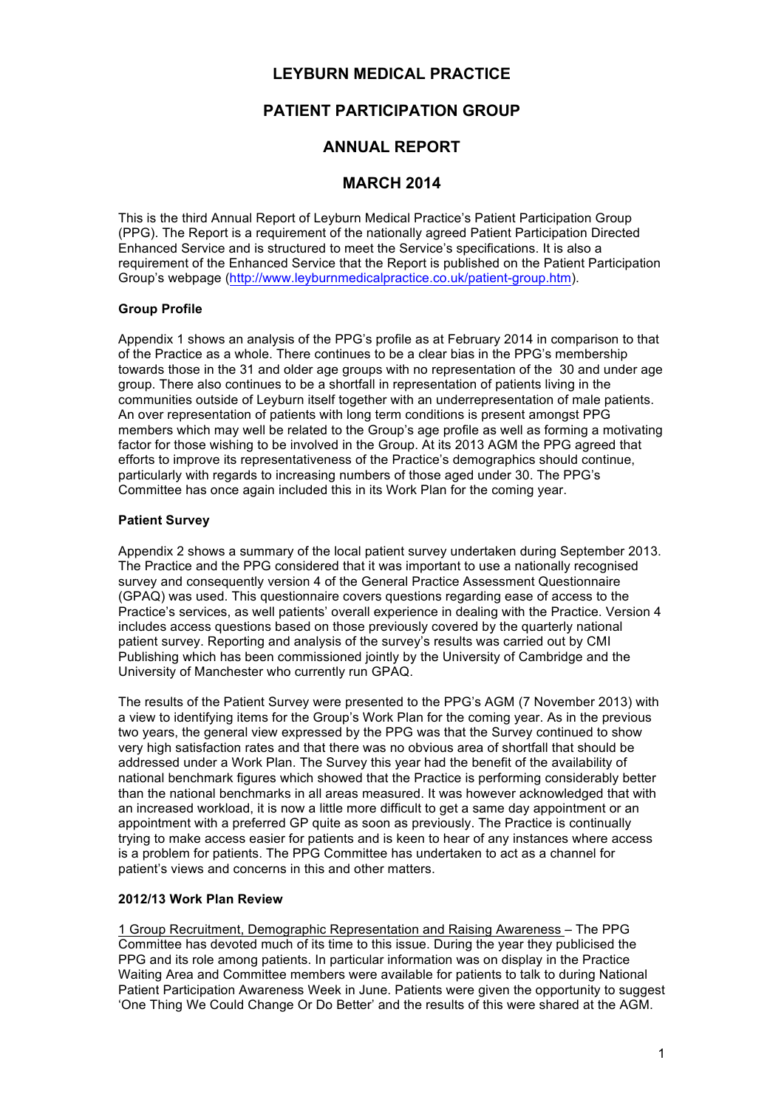## **LEYBURN MEDICAL PRACTICE**

# **PATIENT PARTICIPATION GROUP**

## **ANNUAL REPORT**

### **MARCH 2014**

This is the third Annual Report of Leyburn Medical Practice's Patient Participation Group (PPG). The Report is a requirement of the nationally agreed Patient Participation Directed Enhanced Service and is structured to meet the Service's specifications. It is also a requirement of the Enhanced Service that the Report is published on the Patient Participation Group's webpage (http://www.leyburnmedicalpractice.co.uk/patient-group.htm).

### **Group Profile**

Appendix 1 shows an analysis of the PPG's profile as at February 2014 in comparison to that of the Practice as a whole. There continues to be a clear bias in the PPG's membership towards those in the 31 and older age groups with no representation of the 30 and under age group. There also continues to be a shortfall in representation of patients living in the communities outside of Leyburn itself together with an underrepresentation of male patients. An over representation of patients with long term conditions is present amongst PPG members which may well be related to the Group's age profile as well as forming a motivating factor for those wishing to be involved in the Group. At its 2013 AGM the PPG agreed that efforts to improve its representativeness of the Practice's demographics should continue, particularly with regards to increasing numbers of those aged under 30. The PPG's Committee has once again included this in its Work Plan for the coming year.

### **Patient Survey**

Appendix 2 shows a summary of the local patient survey undertaken during September 2013. The Practice and the PPG considered that it was important to use a nationally recognised survey and consequently version 4 of the General Practice Assessment Questionnaire (GPAQ) was used. This questionnaire covers questions regarding ease of access to the Practice's services, as well patients' overall experience in dealing with the Practice. Version 4 includes access questions based on those previously covered by the quarterly national patient survey. Reporting and analysis of the survey's results was carried out by CMI Publishing which has been commissioned jointly by the University of Cambridge and the University of Manchester who currently run GPAQ.

The results of the Patient Survey were presented to the PPG's AGM (7 November 2013) with a view to identifying items for the Group's Work Plan for the coming year. As in the previous two years, the general view expressed by the PPG was that the Survey continued to show very high satisfaction rates and that there was no obvious area of shortfall that should be addressed under a Work Plan. The Survey this year had the benefit of the availability of national benchmark figures which showed that the Practice is performing considerably better than the national benchmarks in all areas measured. It was however acknowledged that with an increased workload, it is now a little more difficult to get a same day appointment or an appointment with a preferred GP quite as soon as previously. The Practice is continually trying to make access easier for patients and is keen to hear of any instances where access is a problem for patients. The PPG Committee has undertaken to act as a channel for patient's views and concerns in this and other matters.

#### **2012/13 Work Plan Review**

1 Group Recruitment, Demographic Representation and Raising Awareness – The PPG Committee has devoted much of its time to this issue. During the year they publicised the PPG and its role among patients. In particular information was on display in the Practice Waiting Area and Committee members were available for patients to talk to during National Patient Participation Awareness Week in June. Patients were given the opportunity to suggest 'One Thing We Could Change Or Do Better' and the results of this were shared at the AGM.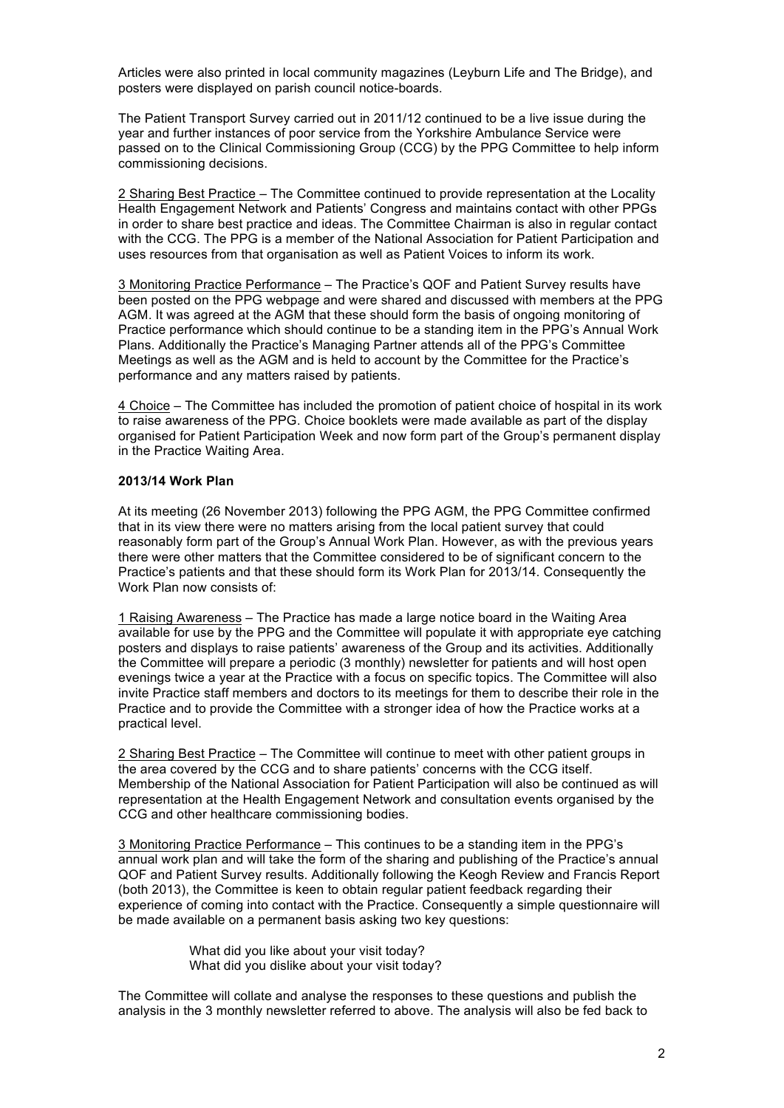Articles were also printed in local community magazines (Leyburn Life and The Bridge), and posters were displayed on parish council notice-boards.

The Patient Transport Survey carried out in 2011/12 continued to be a live issue during the year and further instances of poor service from the Yorkshire Ambulance Service were passed on to the Clinical Commissioning Group (CCG) by the PPG Committee to help inform commissioning decisions.

2 Sharing Best Practice – The Committee continued to provide representation at the Locality Health Engagement Network and Patients' Congress and maintains contact with other PPGs in order to share best practice and ideas. The Committee Chairman is also in regular contact with the CCG. The PPG is a member of the National Association for Patient Participation and uses resources from that organisation as well as Patient Voices to inform its work.

3 Monitoring Practice Performance – The Practice's QOF and Patient Survey results have been posted on the PPG webpage and were shared and discussed with members at the PPG AGM. It was agreed at the AGM that these should form the basis of ongoing monitoring of Practice performance which should continue to be a standing item in the PPG's Annual Work Plans. Additionally the Practice's Managing Partner attends all of the PPG's Committee Meetings as well as the AGM and is held to account by the Committee for the Practice's performance and any matters raised by patients.

4 Choice – The Committee has included the promotion of patient choice of hospital in its work to raise awareness of the PPG. Choice booklets were made available as part of the display organised for Patient Participation Week and now form part of the Group's permanent display in the Practice Waiting Area.

#### **2013/14 Work Plan**

At its meeting (26 November 2013) following the PPG AGM, the PPG Committee confirmed that in its view there were no matters arising from the local patient survey that could reasonably form part of the Group's Annual Work Plan. However, as with the previous years there were other matters that the Committee considered to be of significant concern to the Practice's patients and that these should form its Work Plan for 2013/14. Consequently the Work Plan now consists of:

1 Raising Awareness – The Practice has made a large notice board in the Waiting Area available for use by the PPG and the Committee will populate it with appropriate eye catching posters and displays to raise patients' awareness of the Group and its activities. Additionally the Committee will prepare a periodic (3 monthly) newsletter for patients and will host open evenings twice a year at the Practice with a focus on specific topics. The Committee will also invite Practice staff members and doctors to its meetings for them to describe their role in the Practice and to provide the Committee with a stronger idea of how the Practice works at a practical level.

2 Sharing Best Practice – The Committee will continue to meet with other patient groups in the area covered by the CCG and to share patients' concerns with the CCG itself. Membership of the National Association for Patient Participation will also be continued as will representation at the Health Engagement Network and consultation events organised by the CCG and other healthcare commissioning bodies.

3 Monitoring Practice Performance – This continues to be a standing item in the PPG's annual work plan and will take the form of the sharing and publishing of the Practice's annual QOF and Patient Survey results. Additionally following the Keogh Review and Francis Report (both 2013), the Committee is keen to obtain regular patient feedback regarding their experience of coming into contact with the Practice. Consequently a simple questionnaire will be made available on a permanent basis asking two key questions:

> What did you like about your visit today? What did you dislike about your visit today?

The Committee will collate and analyse the responses to these questions and publish the analysis in the 3 monthly newsletter referred to above. The analysis will also be fed back to